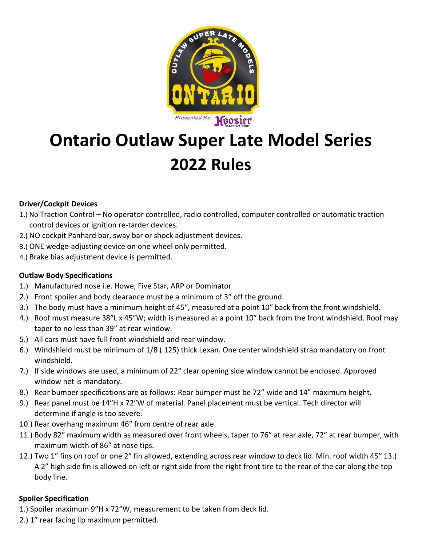

# **Ontario Outlaw Super Late Model Series 2022 Rules**

## **Driver/Cockpit Devices**

- 1.) No Traction Control No operator controlled, radio controlled, computer controlled or automatic traction control devices or ignition re-tarder devices.
- 2.) NO cockpit Panhard bar, sway bar or shock adjustment devices.
- 3.) ONE wedge-adjusting device on one wheel only permitted.
- 4.) Brake bias adjustment device is permitted.

### **Outlaw Body Specifications**

- 1.) Manufactured nose i.e. Howe, Five Star, ARP or Dominator
- 2.) Front spoiler and body clearance must be a minimum of 3″ off the ground.
- 3.) The body must have a minimum height of 45″, measured at a point 10″ back from the front windshield.
- 4.) Roof must measure 38″L x 45″W; width is measured at a point 10″ back from the front windshield. Roof may taper to no less than 39″ at rear window.
- 5.) All cars must have full front windshield and rear window.
- 6.) Windshield must be minimum of 1/8 (.125) thick Lexan. One center windshield strap mandatory on front windshield.
- 7.) If side windows are used, a minimum of 22″ clear opening side window cannot be enclosed. Approved window net is mandatory.
- 8.) Rear bumper specifications are as follows: Rear bumper must be 72" wide and 14" maximum height.
- 9.) Rear panel must be 14″H x 72″W of material. Panel placement must be vertical. Tech director will determine if angle is too severe.
- 10.) Rear overhang maximum 46″ from centre of rear axle.
- 11.) Body 82″ maximum width as measured over front wheels, taper to 76″ at rear axle, 72″ at rear bumper, with maximum width of 86″ at nose tips.
- 12.) Two 1″ fins on roof or one 2″ fin allowed, extending across rear window to deck lid. Min. roof width 45″ 13.) A 2" high side fin is allowed on left or right side from the right front tire to the rear of the car along the top body line.

## **Spoiler Specification**

- 1.) Spoiler maximum 9″H x 72″W, measurement to be taken from deck lid.
- 2.) 1″ rear facing lip maximum permitted.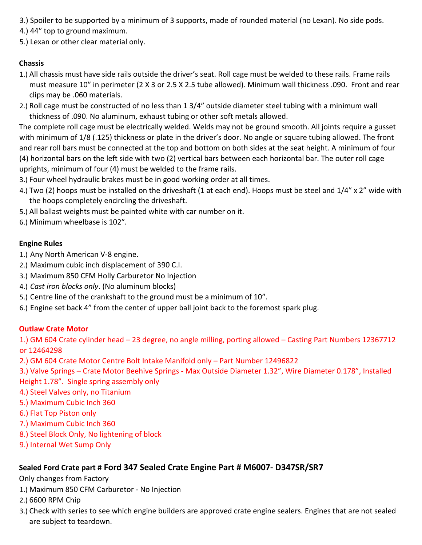- 3.) Spoiler to be supported by a minimum of 3 supports, made of rounded material (no Lexan). No side pods.
- 4.) 44″ top to ground maximum.
- 5.) Lexan or other clear material only.

## **Chassis**

- 1.) All chassis must have side rails outside the driver's seat. Roll cage must be welded to these rails. Frame rails must measure 10″ in perimeter (2 X 3 or 2.5 X 2.5 tube allowed). Minimum wall thickness .090. Front and rear clips may be .060 materials.
- 2.) Roll cage must be constructed of no less than 1 3/4″ outside diameter steel tubing with a minimum wall thickness of .090. No aluminum, exhaust tubing or other soft metals allowed.

The complete roll cage must be electrically welded. Welds may not be ground smooth. All joints require a gusset with minimum of 1/8 (.125) thickness or plate in the driver's door. No angle or square tubing allowed. The front and rear roll bars must be connected at the top and bottom on both sides at the seat height. A minimum of four (4) horizontal bars on the left side with two (2) vertical bars between each horizontal bar. The outer roll cage uprights, minimum of four (4) must be welded to the frame rails.

- 3.) Four wheel hydraulic brakes must be in good working order at all times.
- 4.) Two (2) hoops must be installed on the driveshaft (1 at each end). Hoops must be steel and 1/4″ x 2" wide with the hoops completely encircling the driveshaft.
- 5.) All ballast weights must be painted white with car number on it.
- 6.) Minimum wheelbase is 102″.

## **Engine Rules**

- 1.) Any North American V-8 engine.
- 2.) Maximum cubic inch displacement of 390 C.I.
- 3.) Maximum 850 CFM Holly Carburetor No Injection
- 4.) *Cast iron blocks only*. (No aluminum blocks)
- 5.) Centre line of the crankshaft to the ground must be a minimum of 10″.
- 6.) Engine set back 4" from the center of upper ball joint back to the foremost spark plug.

## **Outlaw Crate Motor**

1.) GM 604 Crate cylinder head – 23 degree, no angle milling, porting allowed – Casting Part Numbers 12367712 or 12464298

- 2.) GM 604 Crate Motor Centre Bolt Intake Manifold only Part Number 12496822
- 3.) Valve Springs Crate Motor Beehive Springs Max Outside Diameter 1.32", Wire Diameter 0.178", Installed
- Height 1.78". Single spring assembly only
- 4.) Steel Valves only, no Titanium
- 5.) Maximum Cubic Inch 360
- 6.) Flat Top Piston only
- 7.) Maximum Cubic Inch 360
- 8.) Steel Block Only, No lightening of block
- 9.) Internal Wet Sump Only

## **Sealed Ford Crate part # Ford 347 Sealed Crate Engine Part # M6007- D347SR/SR7**

Only changes from Factory

- 1.) Maximum 850 CFM Carburetor No Injection
- 2.) 6600 RPM Chip
- 3.) Check with series to see which engine builders are approved crate engine sealers. Engines that are not sealed are subject to teardown.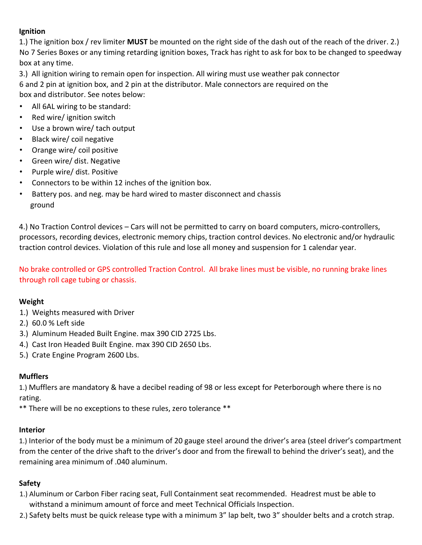## **Ignition**

1.) The ignition box / rev limiter **MUST** be mounted on the right side of the dash out of the reach of the driver. 2.) No 7 Series Boxes or any timing retarding ignition boxes, Track has right to ask for box to be changed to speedway box at any time.

3.) All ignition wiring to remain open for inspection. All wiring must use weather pak connector 6 and 2 pin at ignition box, and 2 pin at the distributor. Male connectors are required on the box and distributor. See notes below:

- All 6AL wiring to be standard:
- Red wire/ ignition switch
- Use a brown wire/ tach output
- Black wire/ coil negative
- Orange wire/ coil positive
- Green wire/ dist. Negative
- Purple wire/ dist. Positive
- Connectors to be within 12 inches of the ignition box.
- Battery pos. and neg. may be hard wired to master disconnect and chassis ground

4.) No Traction Control devices – Cars will not be permitted to carry on board computers, micro-controllers, processors, recording devices, electronic memory chips, traction control devices. No electronic and/or hydraulic traction control devices. Violation of this rule and lose all money and suspension for 1 calendar year.

No brake controlled or GPS controlled Traction Control. All brake lines must be visible, no running brake lines through roll cage tubing or chassis.

#### **Weight**

- 1.) Weights measured with Driver
- 2.) 60.0 % Left side
- 3.) Aluminum Headed Built Engine. max 390 CID 2725 Lbs.
- 4.) Cast Iron Headed Built Engine. max 390 CID 2650 Lbs.
- 5.) Crate Engine Program 2600 Lbs.

#### **Mufflers**

1.) Mufflers are mandatory & have a decibel reading of 98 or less except for Peterborough where there is no rating.

\*\* There will be no exceptions to these rules, zero tolerance \*\*

#### **Interior**

1.) Interior of the body must be a minimum of 20 gauge steel around the driver's area (steel driver's compartment from the center of the drive shaft to the driver's door and from the firewall to behind the driver's seat), and the remaining area minimum of .040 aluminum.

#### **Safety**

- 1.) Aluminum or Carbon Fiber racing seat, Full Containment seat recommended. Headrest must be able to withstand a minimum amount of force and meet Technical Officials Inspection.
- 2.) Safety belts must be quick release type with a minimum 3" lap belt, two 3" shoulder belts and a crotch strap.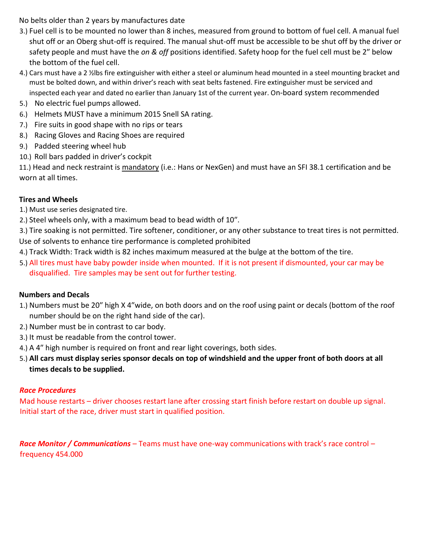No belts older than 2 years by manufactures date

- 3.) Fuel cell is to be mounted no lower than 8 inches, measured from ground to bottom of fuel cell. A manual fuel shut off or an Oberg shut-off is required. The manual shut-off must be accessible to be shut off by the driver or safety people and must have the *on & off* positions identified. Safety hoop for the fuel cell must be 2″ below the bottom of the fuel cell.
- 4.) Cars must have a 2 ½lbs fire extinguisher with either a steel or aluminum head mounted in a steel mounting bracket and must be bolted down, and within driver's reach with seat belts fastened. Fire extinguisher must be serviced and inspected each year and dated no earlier than January 1st of the current year. On-board system recommended
- 5.) No electric fuel pumps allowed.
- 6.) Helmets MUST have a minimum 2015 Snell SA rating.
- 7.) Fire suits in good shape with no rips or tears
- 8.) Racing Gloves and Racing Shoes are required
- 9.) Padded steering wheel hub
- 10.) Roll bars padded in driver's cockpit

11.) Head and neck restraint is mandatory (i.e.: Hans or NexGen) and must have an SFI 38.1 certification and be worn at all times.

## **Tires and Wheels**

- 1.) Must use series designated tire.
- 2.) Steel wheels only, with a maximum bead to bead width of 10″.
- 3.) Tire soaking is not permitted. Tire softener, conditioner, or any other substance to treat tires is not permitted. Use of solvents to enhance tire performance is completed prohibited
- 4.) Track Width: Track width is 82 inches maximum measured at the bulge at the bottom of the tire.
- 5.) All tires must have baby powder inside when mounted. If it is not present if dismounted, your car may be disqualified. Tire samples may be sent out for further testing.

## **Numbers and Decals**

- 1.) Numbers must be 20″ high X 4″wide, on both doors and on the roof using paint or decals (bottom of the roof number should be on the right hand side of the car).
- 2.) Number must be in contrast to car body.
- 3.) It must be readable from the control tower.
- 4.) A 4″ high number is required on front and rear light coverings, both sides.
- 5.) **All cars must display series sponsor decals on top of windshield and the upper front of both doors at all times decals to be supplied.**

## *Race Procedures*

Mad house restarts – driver chooses restart lane after crossing start finish before restart on double up signal. Initial start of the race, driver must start in qualified position.

*Race Monitor / Communications* – Teams must have one-way communications with track's race control – frequency 454.000